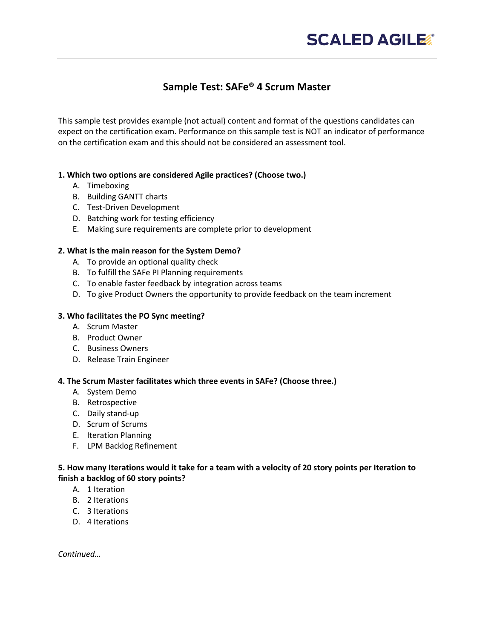# **Sample Test: SAFe® 4 Scrum Master**

This sample test provides example (not actual) content and format of the questions candidates can expect on the certification exam. Performance on this sample test is NOT an indicator of performance on the certification exam and this should not be considered an assessment tool.

## **1. Which two options are considered Agile practices? (Choose two.)**

- A. Timeboxing
- B. Building GANTT charts
- C. Test-Driven Development
- D. Batching work for testing efficiency
- E. Making sure requirements are complete prior to development

## **2. What is the main reason for the System Demo?**

- A. To provide an optional quality check
- B. To fulfill the SAFe PI Planning requirements
- C. To enable faster feedback by integration across teams
- D. To give Product Owners the opportunity to provide feedback on the team increment

### **3. Who facilitates the PO Sync meeting?**

- A. Scrum Master
- B. Product Owner
- C. Business Owners
- D. Release Train Engineer

#### **4. The Scrum Master facilitates which three events in SAFe? (Choose three.)**

- A. System Demo
- B. Retrospective
- C. Daily stand-up
- D. Scrum of Scrums
- E. Iteration Planning
- F. LPM Backlog Refinement

#### **5. How many Iterations would it take for a team with a velocity of 20 story points per Iteration to finish a backlog of 60 story points?**

- A. 1 Iteration
- B. 2 Iterations
- C. 3 Iterations
- D. 4 Iterations

*Continued…*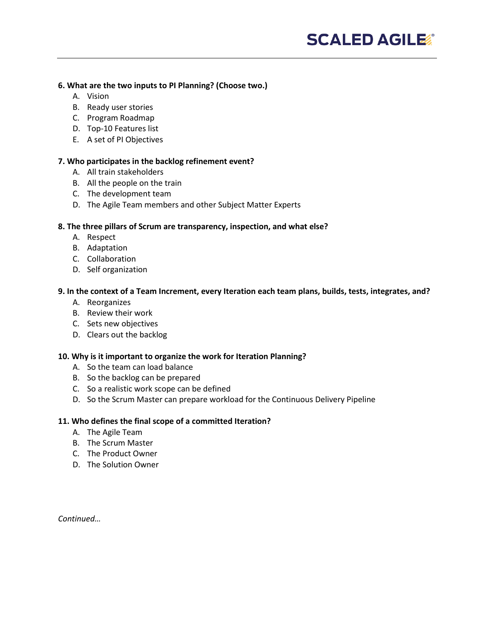#### **6. What are the two inputs to PI Planning? (Choose two.)**

- A. Vision
- B. Ready user stories
- C. Program Roadmap
- D. Top-10 Features list
- E. A set of PI Objectives

#### **7. Who participates in the backlog refinement event?**

- A. All train stakeholders
- B. All the people on the train
- C. The development team
- D. The Agile Team members and other Subject Matter Experts

## **8. The three pillars of Scrum are transparency, inspection, and what else?**

- A. Respect
- B. Adaptation
- C. Collaboration
- D. Self organization

## **9. In the context of a Team Increment, every Iteration each team plans, builds, tests, integrates, and?**

- A. Reorganizes
- B. Review their work
- C. Sets new objectives
- D. Clears out the backlog

## **10. Why is it important to organize the work for Iteration Planning?**

- A. So the team can load balance
- B. So the backlog can be prepared
- C. So a realistic work scope can be defined
- D. So the Scrum Master can prepare workload for the Continuous Delivery Pipeline

## **11. Who defines the final scope of a committed Iteration?**

- A. The Agile Team
- B. The Scrum Master
- C. The Product Owner
- D. The Solution Owner

*Continued…*